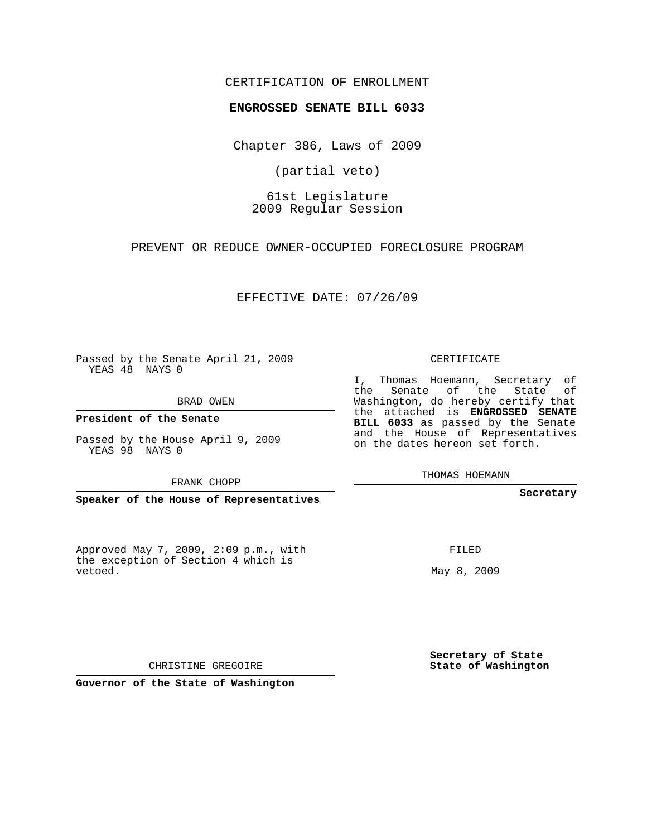## CERTIFICATION OF ENROLLMENT

#### **ENGROSSED SENATE BILL 6033**

Chapter 386, Laws of 2009

(partial veto)

61st Legislature 2009 Regular Session

PREVENT OR REDUCE OWNER-OCCUPIED FORECLOSURE PROGRAM

EFFECTIVE DATE: 07/26/09

Passed by the Senate April 21, 2009 YEAS 48 NAYS 0

BRAD OWEN

**President of the Senate**

Passed by the House April 9, 2009 YEAS 98 NAYS 0

FRANK CHOPP

**Speaker of the House of Representatives**

Approved May 7, 2009, 2:09 p.m., with the exception of Section 4 which is vetoed.

CERTIFICATE

I, Thomas Hoemann, Secretary of the Senate of the State of Washington, do hereby certify that the attached is **ENGROSSED SENATE BILL 6033** as passed by the Senate and the House of Representatives on the dates hereon set forth.

THOMAS HOEMANN

**Secretary**

FILED

May 8, 2009

**Secretary of State State of Washington**

CHRISTINE GREGOIRE

**Governor of the State of Washington**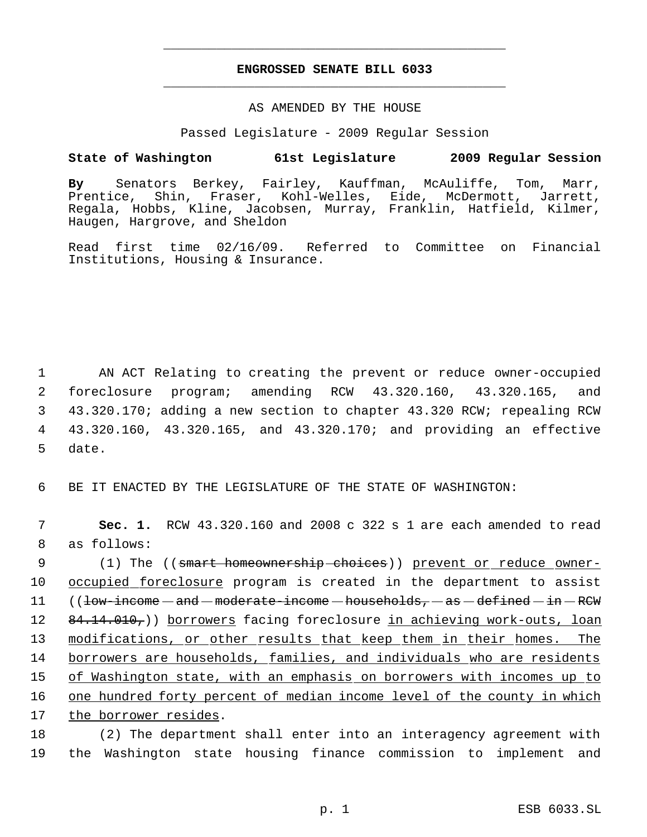# **ENGROSSED SENATE BILL 6033** \_\_\_\_\_\_\_\_\_\_\_\_\_\_\_\_\_\_\_\_\_\_\_\_\_\_\_\_\_\_\_\_\_\_\_\_\_\_\_\_\_\_\_\_\_

\_\_\_\_\_\_\_\_\_\_\_\_\_\_\_\_\_\_\_\_\_\_\_\_\_\_\_\_\_\_\_\_\_\_\_\_\_\_\_\_\_\_\_\_\_

### AS AMENDED BY THE HOUSE

Passed Legislature - 2009 Regular Session

## **State of Washington 61st Legislature 2009 Regular Session**

**By** Senators Berkey, Fairley, Kauffman, McAuliffe, Tom, Marr, Prentice, Shin, Fraser, Kohl-Welles, Eide, McDermott, Jarrett, Regala, Hobbs, Kline, Jacobsen, Murray, Franklin, Hatfield, Kilmer, Haugen, Hargrove, and Sheldon

Read first time 02/16/09. Referred to Committee on Financial Institutions, Housing & Insurance.

 AN ACT Relating to creating the prevent or reduce owner-occupied foreclosure program; amending RCW 43.320.160, 43.320.165, and 43.320.170; adding a new section to chapter 43.320 RCW; repealing RCW 43.320.160, 43.320.165, and 43.320.170; and providing an effective 5 date.

6 BE IT ENACTED BY THE LEGISLATURE OF THE STATE OF WASHINGTON:

 7 **Sec. 1.** RCW 43.320.160 and 2008 c 322 s 1 are each amended to read 8 as follows:

9 (1) The ((<del>smart homeownership choices</del>)) <u>prevent or reduce owner-</u> occupied foreclosure program is created in the department to assist (( $low$ -income  $-$  and  $-$  moderate-income  $-$  households,  $-$  as  $-$  defined  $-$  in  $-$  RCW 12 84.14.010,)) borrowers facing foreclosure in achieving work-outs, loan 13 modifications, or other results that keep them in their homes. The borrowers are households, families, and individuals who are residents of Washington state, with an emphasis on borrowers with incomes up to one hundred forty percent of median income level of the county in which the borrower resides.

18 (2) The department shall enter into an interagency agreement with 19 the Washington state housing finance commission to implement and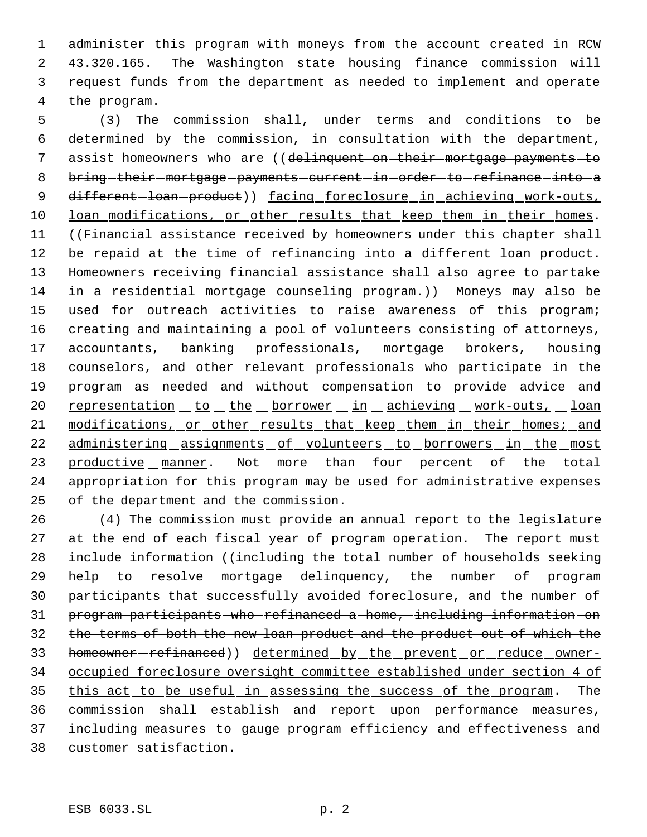administer this program with moneys from the account created in RCW 43.320.165. The Washington state housing finance commission will request funds from the department as needed to implement and operate the program.

 5 (3) The commission shall, under terms and conditions to be 6 determined by the commission, in consultation with the department, 7 assist homeowners who are ((delinquent on their mortgage payments to 8 bring-their-mortgage-payments-current-in-order-to-refinance-into-a 9 different-loan-product)) facing foreclosure in achieving work-outs, 10 loan modifications, or other results that keep them in their homes. 11 ((Financial assistance received by homeowners under this chapter shall 12 be repaid at the time of refinancing into a different loan product. 13 Homeowners receiving financial assistance shall also agree to partake 14 in a residential mortgage counseling program.)) Moneys may also be 15 used for outreach activities to raise awareness of this programi 16 creating and maintaining a pool of volunteers consisting of attorneys, 17 accountants, banking professionals, mortgage brokers, housing 18 counselors, and other relevant professionals who participate in the 19 program as needed and without compensation to provide advice and 20 representation to the borrower in achieving work-outs, loan 21 modifications, or other results that keep them in their homes; and 22 administering assignments of volunteers to borrowers in the most 23 productive manner. Not more than four percent of the total 24 appropriation for this program may be used for administrative expenses 25 of the department and the commission.

 (4) The commission must provide an annual report to the legislature at the end of each fiscal year of program operation. The report must 28 include information ((including the total number of households seeking 29 help  $-$  to  $-$  resolve  $-$  mortgage  $-$  delinquency,  $-$  the  $-$  number  $-$  of  $-$  program participants that successfully avoided foreclosure, and the number of program participants who refinanced a home, including information on the terms of both the new loan product and the product out of which the 33 homeowner-refinanced)) determined by the prevent or reduce owner- occupied foreclosure oversight committee established under section 4 of 35 this act to be useful in assessing the success of the program. The commission shall establish and report upon performance measures, including measures to gauge program efficiency and effectiveness and customer satisfaction.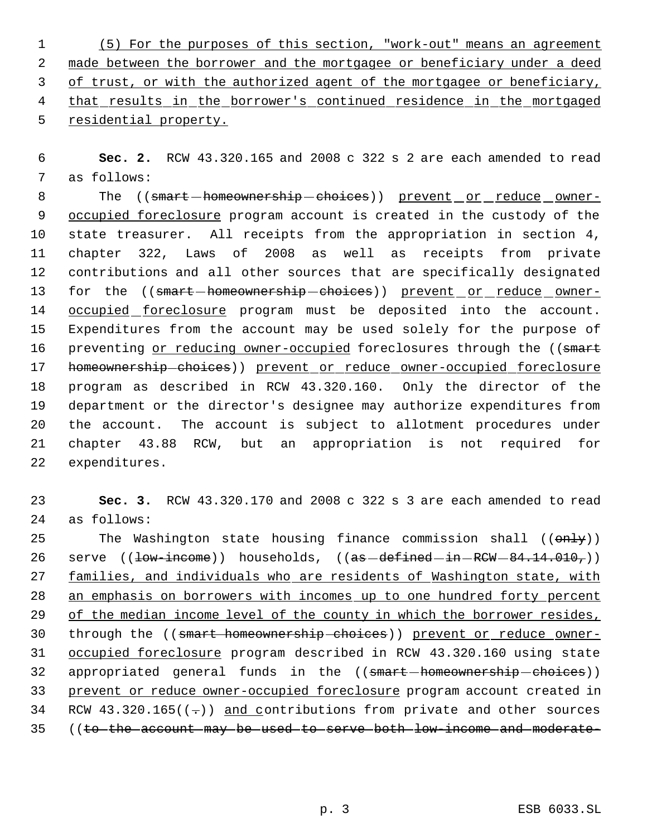(5) For the purposes of this section, "work-out" means an agreement made between the borrower and the mortgagee or beneficiary under a deed 3 of trust, or with the authorized agent of the mortgagee or beneficiary, 4 that results in the borrower's continued residence in the mortgaged residential property.

 **Sec. 2.** RCW 43.320.165 and 2008 c 322 s 2 are each amended to read as follows:

8 The ((smart-homeownership-choices)) prevent or reduce owner- occupied foreclosure program account is created in the custody of the state treasurer. All receipts from the appropriation in section 4, chapter 322, Laws of 2008 as well as receipts from private contributions and all other sources that are specifically designated 13 for the ((smart-homeownership-choices)) prevent or reduce owner-14 occupied foreclosure program must be deposited into the account. Expenditures from the account may be used solely for the purpose of 16 preventing or reducing owner-occupied foreclosures through the ((smart 17 homeownership-choices)) prevent or reduce owner-occupied foreclosure program as described in RCW 43.320.160. Only the director of the department or the director's designee may authorize expenditures from the account. The account is subject to allotment procedures under chapter 43.88 RCW, but an appropriation is not required for expenditures.

 **Sec. 3.** RCW 43.320.170 and 2008 c 322 s 3 are each amended to read as follows:

25 The Washington state housing finance commission shall (( $\text{only}$ )) 26 serve  $((1ow\times1eme))$  households,  $((as-\text{defined}-in-RCW-84.14.010,))$  families, and individuals who are residents of Washington state, with 28 an emphasis on borrowers with incomes up to one hundred forty percent 29 of the median income level of the county in which the borrower resides, through the ((smart homeownership choices)) prevent or reduce owner- occupied foreclosure program described in RCW 43.320.160 using state 32 appropriated general funds in the ((smart-homeownership-choices)) prevent or reduce owner-occupied foreclosure program account created in 34 RCW 43.320.165( $(-)$ ) and contributions from private and other sources ((to the account may be used to serve both low-income and moderate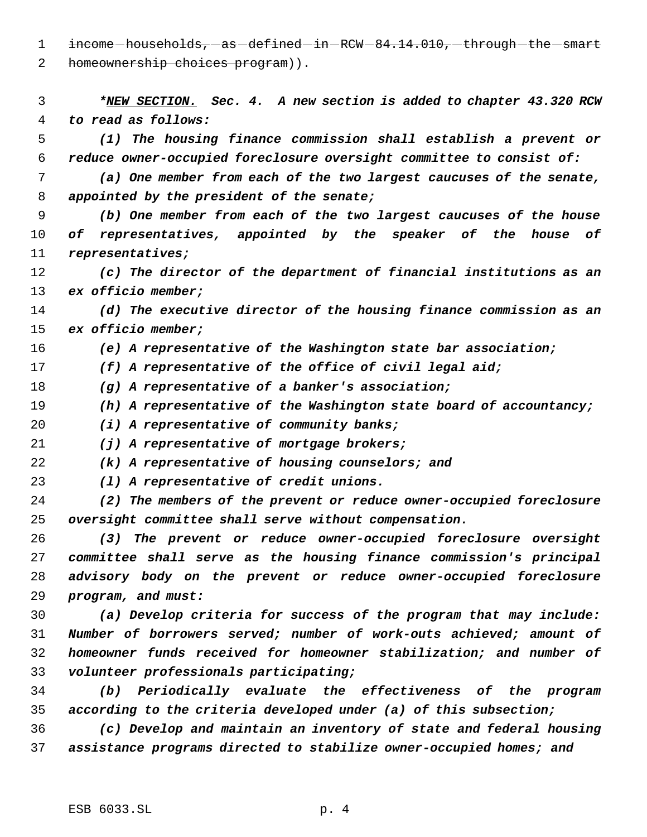1 income households, as defined in RCW 84.14.010, through the smart

2 homeownership choices program)).

 *\*NEW SECTION. Sec. 4. A new section is added to chapter 43.320 RCW to read as follows: (1) The housing finance commission shall establish a prevent or reduce owner-occupied foreclosure oversight committee to consist of: (a) One member from each of the two largest caucuses of the senate, appointed by the president of the senate; (b) One member from each of the two largest caucuses of the house of representatives, appointed by the speaker of the house of representatives; (c) The director of the department of financial institutions as an ex officio member; (d) The executive director of the housing finance commission as an ex officio member; (e) A representative of the Washington state bar association; (f) A representative of the office of civil legal aid; (g) A representative of a banker's association; (h) A representative of the Washington state board of accountancy; (i) A representative of community banks; (j) A representative of mortgage brokers; (k) A representative of housing counselors; and (l) A representative of credit unions. (2) The members of the prevent or reduce owner-occupied foreclosure oversight committee shall serve without compensation. (3) The prevent or reduce owner-occupied foreclosure oversight committee shall serve as the housing finance commission's principal advisory body on the prevent or reduce owner-occupied foreclosure program, and must: (a) Develop criteria for success of the program that may include: Number of borrowers served; number of work-outs achieved; amount of homeowner funds received for homeowner stabilization; and number of volunteer professionals participating; (b) Periodically evaluate the effectiveness of the program according to the criteria developed under (a) of this subsection; (c) Develop and maintain an inventory of state and federal housing assistance programs directed to stabilize owner-occupied homes; and*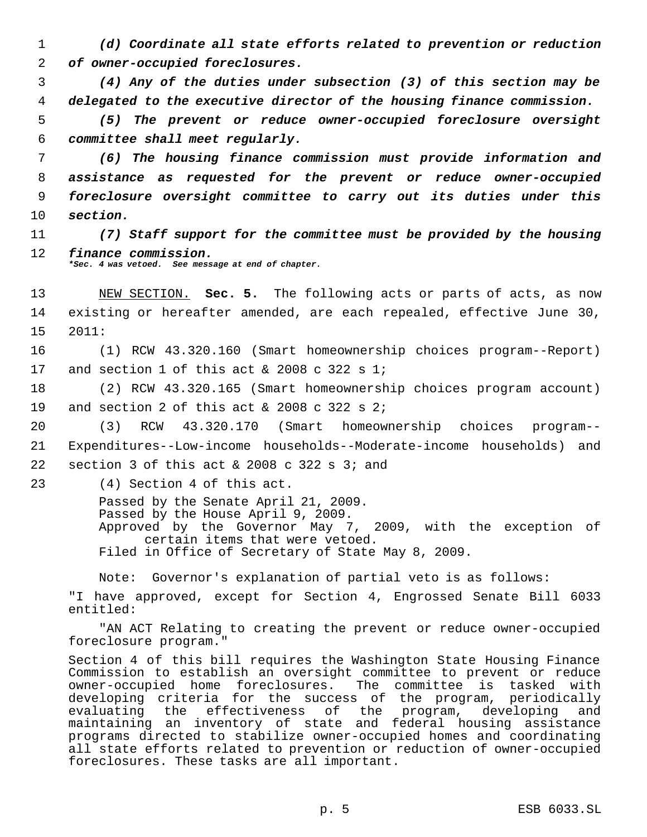1 *(d) Coordinate all state efforts related to prevention or reduction* 2 *of owner-occupied foreclosures.*

 3 *(4) Any of the duties under subsection (3) of this section may be* 4 *delegated to the executive director of the housing finance commission.*

 5 *(5) The prevent or reduce owner-occupied foreclosure oversight* 6 *committee shall meet regularly.*

 *(6) The housing finance commission must provide information and assistance as requested for the prevent or reduce owner-occupied foreclosure oversight committee to carry out its duties under this* 10 *section.*

11 *(7) Staff support for the committee must be provided by the housing* 12 *finance commission.*

*\*Sec. 4 was vetoed. See message at end of chapter.*

13 NEW SECTION. **Sec. 5.** The following acts or parts of acts, as now 14 existing or hereafter amended, are each repealed, effective June 30, 15 2011:

16 (1) RCW 43.320.160 (Smart homeownership choices program--Report) 17 and section 1 of this act & 2008 c 322 s 1;

18 (2) RCW 43.320.165 (Smart homeownership choices program account) 19 and section 2 of this act & 2008 c 322 s 2;

20 (3) RCW 43.320.170 (Smart homeownership choices program-- 21 Expenditures--Low-income households--Moderate-income households) and 22 section 3 of this act  $&2008$  c 322 s 3; and

23 (4) Section 4 of this act.

Passed by the Senate April 21, 2009. Passed by the House April 9, 2009. Approved by the Governor May 7, 2009, with the exception of certain items that were vetoed. Filed in Office of Secretary of State May 8, 2009.

Note: Governor's explanation of partial veto is as follows:

"I have approved, except for Section 4, Engrossed Senate Bill 6033 entitled:

"AN ACT Relating to creating the prevent or reduce owner-occupied foreclosure program."

Section 4 of this bill requires the Washington State Housing Finance Commission to establish an oversight committee to prevent or reduce owner-occupied home foreclosures. The committee is tasked with developing criteria for the success of the program, periodically evaluating the effectiveness of the program, developing and maintaining an inventory of state and federal housing assistance programs directed to stabilize owner-occupied homes and coordinating all state efforts related to prevention or reduction of owner-occupied foreclosures. These tasks are all important.